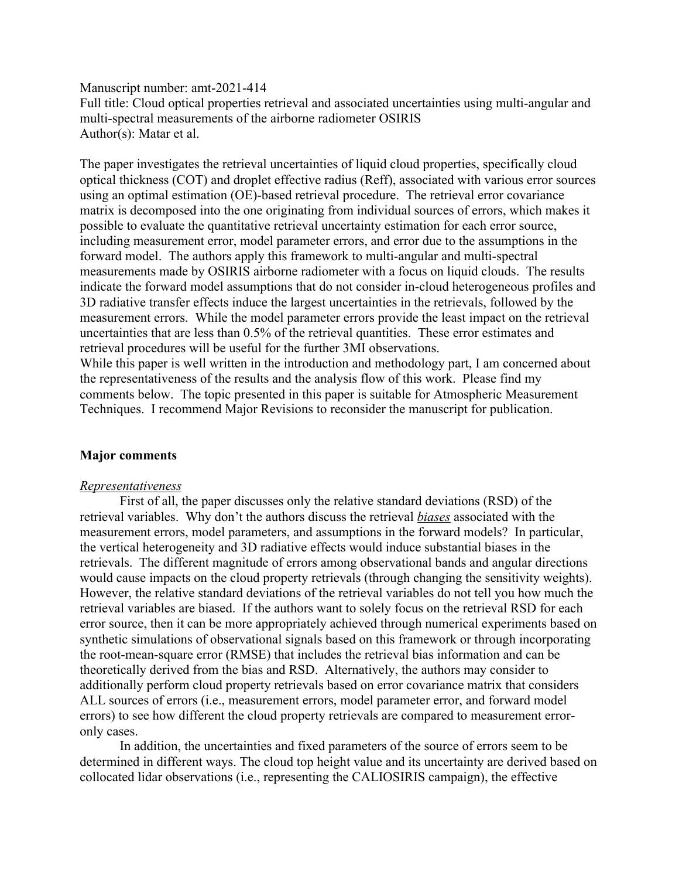Manuscript number: amt-2021-414

Full title: Cloud optical properties retrieval and associated uncertainties using multi-angular and multi-spectral measurements of the airborne radiometer OSIRIS Author(s): Matar et al.

The paper investigates the retrieval uncertainties of liquid cloud properties, specifically cloud optical thickness (COT) and droplet effective radius (Reff), associated with various error sources using an optimal estimation (OE)-based retrieval procedure. The retrieval error covariance matrix is decomposed into the one originating from individual sources of errors, which makes it possible to evaluate the quantitative retrieval uncertainty estimation for each error source, including measurement error, model parameter errors, and error due to the assumptions in the forward model. The authors apply this framework to multi-angular and multi-spectral measurements made by OSIRIS airborne radiometer with a focus on liquid clouds. The results indicate the forward model assumptions that do not consider in-cloud heterogeneous profiles and 3D radiative transfer effects induce the largest uncertainties in the retrievals, followed by the measurement errors. While the model parameter errors provide the least impact on the retrieval uncertainties that are less than 0.5% of the retrieval quantities. These error estimates and retrieval procedures will be useful for the further 3MI observations. While this paper is well written in the introduction and methodology part, I am concerned about the representativeness of the results and the analysis flow of this work. Please find my comments below. The topic presented in this paper is suitable for Atmospheric Measurement

Techniques. I recommend Major Revisions to reconsider the manuscript for publication.

# **Major comments**

### *Representativeness*

First of all, the paper discusses only the relative standard deviations (RSD) of the retrieval variables. Why don't the authors discuss the retrieval *biases* associated with the measurement errors, model parameters, and assumptions in the forward models? In particular, the vertical heterogeneity and 3D radiative effects would induce substantial biases in the retrievals. The different magnitude of errors among observational bands and angular directions would cause impacts on the cloud property retrievals (through changing the sensitivity weights). However, the relative standard deviations of the retrieval variables do not tell you how much the retrieval variables are biased. If the authors want to solely focus on the retrieval RSD for each error source, then it can be more appropriately achieved through numerical experiments based on synthetic simulations of observational signals based on this framework or through incorporating the root-mean-square error (RMSE) that includes the retrieval bias information and can be theoretically derived from the bias and RSD. Alternatively, the authors may consider to additionally perform cloud property retrievals based on error covariance matrix that considers ALL sources of errors (i.e., measurement errors, model parameter error, and forward model errors) to see how different the cloud property retrievals are compared to measurement erroronly cases.

In addition, the uncertainties and fixed parameters of the source of errors seem to be determined in different ways. The cloud top height value and its uncertainty are derived based on collocated lidar observations (i.e., representing the CALIOSIRIS campaign), the effective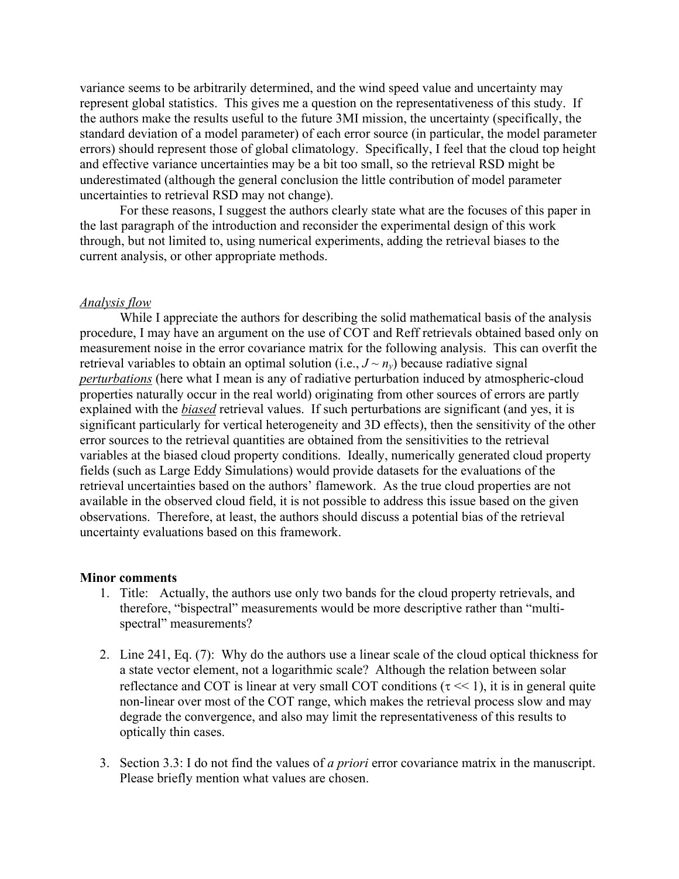variance seems to be arbitrarily determined, and the wind speed value and uncertainty may represent global statistics. This gives me a question on the representativeness of this study. If the authors make the results useful to the future 3MI mission, the uncertainty (specifically, the standard deviation of a model parameter) of each error source (in particular, the model parameter errors) should represent those of global climatology. Specifically, I feel that the cloud top height and effective variance uncertainties may be a bit too small, so the retrieval RSD might be underestimated (although the general conclusion the little contribution of model parameter uncertainties to retrieval RSD may not change).

For these reasons, I suggest the authors clearly state what are the focuses of this paper in the last paragraph of the introduction and reconsider the experimental design of this work through, but not limited to, using numerical experiments, adding the retrieval biases to the current analysis, or other appropriate methods.

### *Analysis flow*

While I appreciate the authors for describing the solid mathematical basis of the analysis procedure, I may have an argument on the use of COT and Reff retrievals obtained based only on measurement noise in the error covariance matrix for the following analysis. This can overfit the retrieval variables to obtain an optimal solution (i.e.,  $J \sim n_y$ ) because radiative signal *perturbations* (here what I mean is any of radiative perturbation induced by atmospheric-cloud properties naturally occur in the real world) originating from other sources of errors are partly explained with the *biased* retrieval values. If such perturbations are significant (and yes, it is significant particularly for vertical heterogeneity and 3D effects), then the sensitivity of the other error sources to the retrieval quantities are obtained from the sensitivities to the retrieval variables at the biased cloud property conditions. Ideally, numerically generated cloud property fields (such as Large Eddy Simulations) would provide datasets for the evaluations of the retrieval uncertainties based on the authors' flamework. As the true cloud properties are not available in the observed cloud field, it is not possible to address this issue based on the given observations. Therefore, at least, the authors should discuss a potential bias of the retrieval uncertainty evaluations based on this framework.

#### **Minor comments**

- 1. Title: Actually, the authors use only two bands for the cloud property retrievals, and therefore, "bispectral" measurements would be more descriptive rather than "multispectral" measurements?
- 2. Line 241, Eq. (7): Why do the authors use a linear scale of the cloud optical thickness for a state vector element, not a logarithmic scale? Although the relation between solar reflectance and COT is linear at very small COT conditions ( $\tau \ll 1$ ), it is in general quite non-linear over most of the COT range, which makes the retrieval process slow and may degrade the convergence, and also may limit the representativeness of this results to optically thin cases.
- 3. Section 3.3: I do not find the values of *a priori* error covariance matrix in the manuscript. Please briefly mention what values are chosen.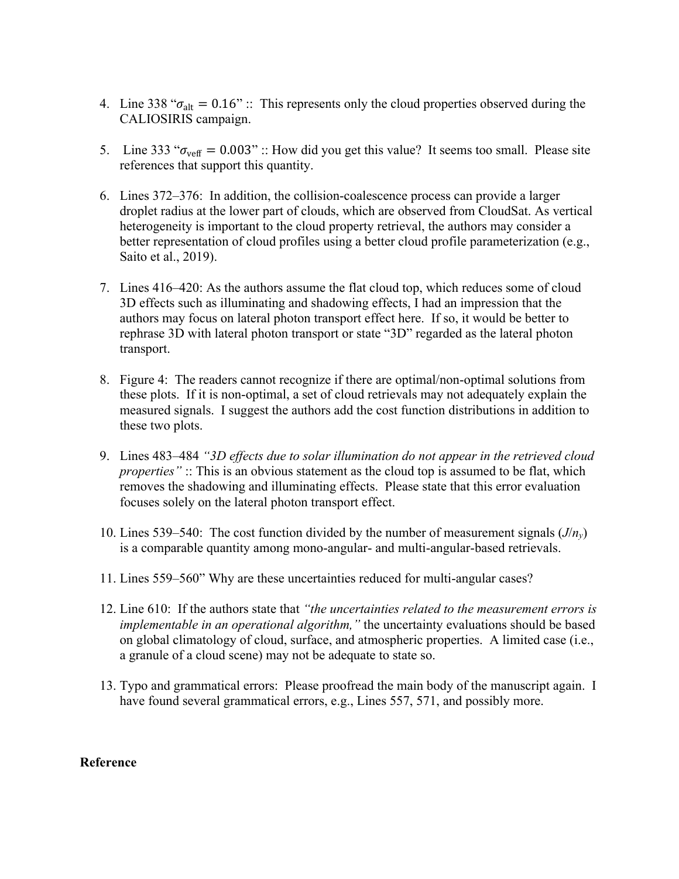- 4. Line 338 " $\sigma_{\text{alt}} = 0.16$ " :: This represents only the cloud properties observed during the CALIOSIRIS campaign.
- 5. Line 333 " $\sigma_{\text{veff}} = 0.003$ " :: How did you get this value? It seems too small. Please site references that support this quantity.
- 6. Lines 372–376: In addition, the collision-coalescence process can provide a larger droplet radius at the lower part of clouds, which are observed from CloudSat. As vertical heterogeneity is important to the cloud property retrieval, the authors may consider a better representation of cloud profiles using a better cloud profile parameterization (e.g., Saito et al., 2019).
- 7. Lines 416–420: As the authors assume the flat cloud top, which reduces some of cloud 3D effects such as illuminating and shadowing effects, I had an impression that the authors may focus on lateral photon transport effect here. If so, it would be better to rephrase 3D with lateral photon transport or state "3D" regarded as the lateral photon transport.
- 8. Figure 4: The readers cannot recognize if there are optimal/non-optimal solutions from these plots. If it is non-optimal, a set of cloud retrievals may not adequately explain the measured signals. I suggest the authors add the cost function distributions in addition to these two plots.
- 9. Lines 483–484 *"3D effects due to solar illumination do not appear in the retrieved cloud properties*" :: This is an obvious statement as the cloud top is assumed to be flat, which removes the shadowing and illuminating effects. Please state that this error evaluation focuses solely on the lateral photon transport effect.
- 10. Lines 539–540: The cost function divided by the number of measurement signals (*J*/*ny*) is a comparable quantity among mono-angular- and multi-angular-based retrievals.
- 11. Lines 559–560" Why are these uncertainties reduced for multi-angular cases?
- 12. Line 610: If the authors state that *"the uncertainties related to the measurement errors is implementable in an operational algorithm,"* the uncertainty evaluations should be based on global climatology of cloud, surface, and atmospheric properties. A limited case (i.e., a granule of a cloud scene) may not be adequate to state so.
- 13. Typo and grammatical errors: Please proofread the main body of the manuscript again. I have found several grammatical errors, e.g., Lines 557, 571, and possibly more.

# **Reference**